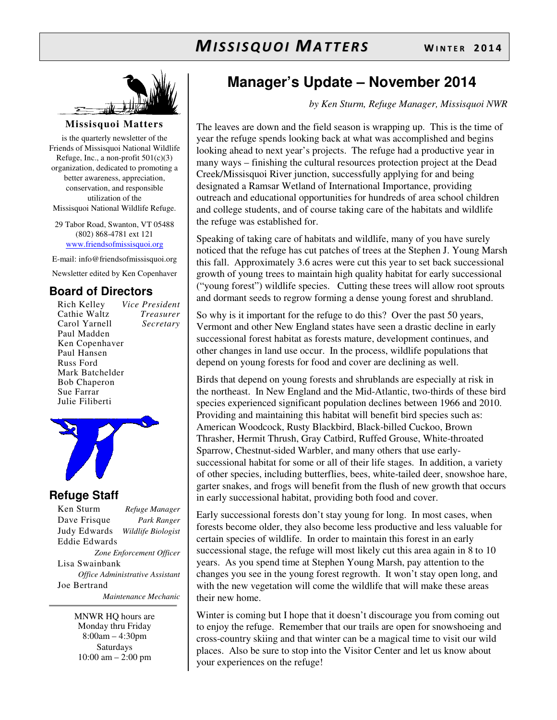

#### **Missisquoi Matters**

is the quarterly newsletter of the Friends of Missisquoi National Wildlife Refuge, Inc., a non-profit  $501(c)(3)$ organization, dedicated to promoting a better awareness, appreciation, conservation, and responsible utilization of the Missisquoi National Wildlife Refuge.

29 Tabor Road, Swanton, VT 05488 (802) 868-4781 ext 121 www.friendsofmissisquoi.org

E-mail: info@friendsofmissisquoi.org

Newsletter edited by Ken Copenhaver

## **Board of Directors**

| Rich Kelley         | Vice President   |
|---------------------|------------------|
| Cathie Waltz        | <i>Treasurer</i> |
| Carol Yarnell       | Secretary        |
| Paul Madden         |                  |
| Ken Copenhaver      |                  |
| Paul Hansen         |                  |
| Russ Ford           |                  |
| Mark Batchelder     |                  |
| <b>Bob Chaperon</b> |                  |
| Sue Farrar          |                  |
| Julie Filiberti     |                  |



## **Refuge Staff**

Ken Sturm *Refuge Manager* Dave Frisque *Park Ranger* Judy Edwards *Wildlife Biologist* Eddie Edwards *Zone Enforcement Officer* Lisa Swainbank *Office Administrative Assistant*  Joe Bertrand  *Maintenance Mechanic*

> MNWR HQ hours are Monday thru Friday 8:00am – 4:30pm Saturdays 10:00 am – 2:00 pm

# **Manager's Update – November 2014**

*by Ken Sturm, Refuge Manager, Missisquoi NWR*

The leaves are down and the field season is wrapping up. This is the time of year the refuge spends looking back at what was accomplished and begins looking ahead to next year's projects. The refuge had a productive year in many ways – finishing the cultural resources protection project at the Dead Creek/Missisquoi River junction, successfully applying for and being designated a Ramsar Wetland of International Importance, providing outreach and educational opportunities for hundreds of area school children and college students, and of course taking care of the habitats and wildlife the refuge was established for.

Speaking of taking care of habitats and wildlife, many of you have surely noticed that the refuge has cut patches of trees at the Stephen J. Young Marsh this fall. Approximately 3.6 acres were cut this year to set back successional growth of young trees to maintain high quality habitat for early successional ("young forest") wildlife species. Cutting these trees will allow root sprouts and dormant seeds to regrow forming a dense young forest and shrubland.

So why is it important for the refuge to do this? Over the past 50 years, Vermont and other New England states have seen a drastic decline in early successional forest habitat as forests mature, development continues, and other changes in land use occur. In the process, wildlife populations that depend on young forests for food and cover are declining as well.

Birds that depend on young forests and shrublands are especially at risk in the northeast. In New England and the Mid-Atlantic, two-thirds of these bird species experienced significant population declines between 1966 and 2010. Providing and maintaining this habitat will benefit bird species such as: American Woodcock, Rusty Blackbird, Black-billed Cuckoo, Brown Thrasher, Hermit Thrush, Gray Catbird, Ruffed Grouse, White-throated Sparrow, Chestnut-sided Warbler, and many others that use earlysuccessional habitat for some or all of their life stages. In addition, a variety of other species, including butterflies, bees, white-tailed deer, snowshoe hare, garter snakes, and frogs will benefit from the flush of new growth that occurs in early successional habitat, providing both food and cover.

Early successional forests don't stay young for long. In most cases, when forests become older, they also become less productive and less valuable for certain species of wildlife. In order to maintain this forest in an early successional stage, the refuge will most likely cut this area again in 8 to 10 years. As you spend time at Stephen Young Marsh, pay attention to the changes you see in the young forest regrowth. It won't stay open long, and with the new vegetation will come the wildlife that will make these areas their new home.

Winter is coming but I hope that it doesn't discourage you from coming out to enjoy the refuge. Remember that our trails are open for snowshoeing and cross-country skiing and that winter can be a magical time to visit our wild places. Also be sure to stop into the Visitor Center and let us know about your experiences on the refuge!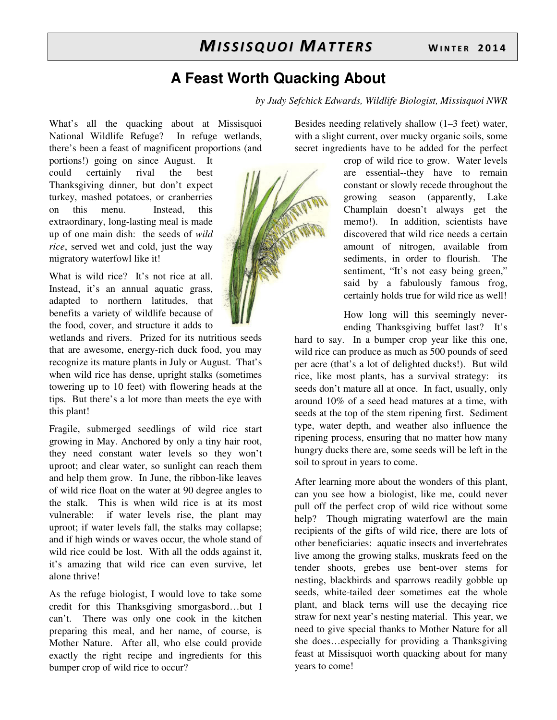# **A Feast Worth Quacking About**

*by Judy Sefchick Edwards, Wildlife Biologist, Missisquoi NWR* 

What's all the quacking about at Missisquoi National Wildlife Refuge? In refuge wetlands, there's been a feast of magnificent proportions (and

portions!) going on since August. It could certainly rival the best Thanksgiving dinner, but don't expect turkey, mashed potatoes, or cranberries on this menu. Instead, this extraordinary, long-lasting meal is made up of one main dish: the seeds of *wild rice*, served wet and cold, just the way migratory waterfowl like it!

What is wild rice? It's not rice at all. Instead, it's an annual aquatic grass, adapted to northern latitudes, that benefits a variety of wildlife because of the food, cover, and structure it adds to

wetlands and rivers. Prized for its nutritious seeds that are awesome, energy-rich duck food, you may recognize its mature plants in July or August. That's when wild rice has dense, upright stalks (sometimes towering up to 10 feet) with flowering heads at the tips. But there's a lot more than meets the eye with this plant!

Fragile, submerged seedlings of wild rice start growing in May. Anchored by only a tiny hair root, they need constant water levels so they won't uproot; and clear water, so sunlight can reach them and help them grow. In June, the ribbon-like leaves of wild rice float on the water at 90 degree angles to the stalk. This is when wild rice is at its most vulnerable: if water levels rise, the plant may uproot; if water levels fall, the stalks may collapse; and if high winds or waves occur, the whole stand of wild rice could be lost. With all the odds against it, it's amazing that wild rice can even survive, let alone thrive!

As the refuge biologist, I would love to take some credit for this Thanksgiving smorgasbord…but I can't. There was only one cook in the kitchen preparing this meal, and her name, of course, is Mother Nature. After all, who else could provide exactly the right recipe and ingredients for this bumper crop of wild rice to occur?

Besides needing relatively shallow (1–3 feet) water, with a slight current, over mucky organic soils, some secret ingredients have to be added for the perfect

crop of wild rice to grow. Water levels are essential--they have to remain constant or slowly recede throughout the growing season (apparently, Lake Champlain doesn't always get the memo!). In addition, scientists have discovered that wild rice needs a certain amount of nitrogen, available from sediments, in order to flourish. The sentiment, "It's not easy being green," said by a fabulously famous frog, certainly holds true for wild rice as well!

How long will this seemingly neverending Thanksgiving buffet last? It's

hard to say. In a bumper crop year like this one, wild rice can produce as much as 500 pounds of seed per acre (that's a lot of delighted ducks!). But wild rice, like most plants, has a survival strategy: its seeds don't mature all at once. In fact, usually, only around 10% of a seed head matures at a time, with seeds at the top of the stem ripening first. Sediment type, water depth, and weather also influence the ripening process, ensuring that no matter how many hungry ducks there are, some seeds will be left in the soil to sprout in years to come.

After learning more about the wonders of this plant, can you see how a biologist, like me, could never pull off the perfect crop of wild rice without some help? Though migrating waterfowl are the main recipients of the gifts of wild rice, there are lots of other beneficiaries: aquatic insects and invertebrates live among the growing stalks, muskrats feed on the tender shoots, grebes use bent-over stems for nesting, blackbirds and sparrows readily gobble up seeds, white-tailed deer sometimes eat the whole plant, and black terns will use the decaying rice straw for next year's nesting material. This year, we need to give special thanks to Mother Nature for all she does…especially for providing a Thanksgiving feast at Missisquoi worth quacking about for many years to come!

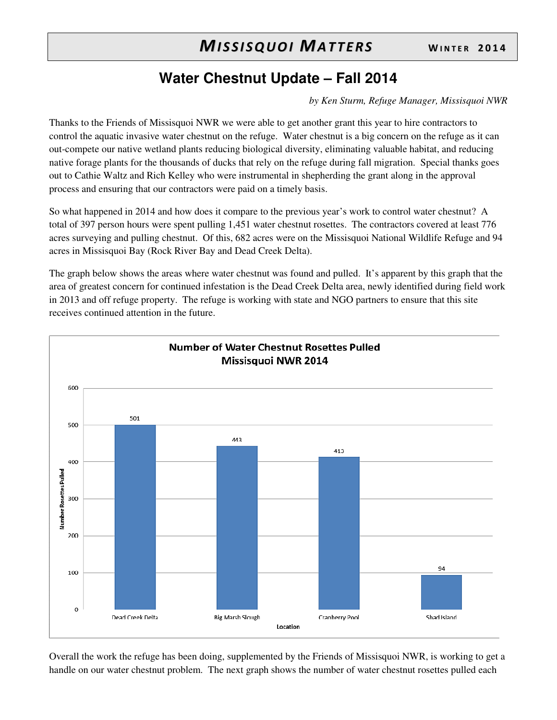# **Water Chestnut Update – Fall 2014**

*by Ken Sturm, Refuge Manager, Missisquoi NWR*

Thanks to the Friends of Missisquoi NWR we were able to get another grant this year to hire contractors to control the aquatic invasive water chestnut on the refuge. Water chestnut is a big concern on the refuge as it can out-compete our native wetland plants reducing biological diversity, eliminating valuable habitat, and reducing native forage plants for the thousands of ducks that rely on the refuge during fall migration. Special thanks goes out to Cathie Waltz and Rich Kelley who were instrumental in shepherding the grant along in the approval process and ensuring that our contractors were paid on a timely basis.

So what happened in 2014 and how does it compare to the previous year's work to control water chestnut? A total of 397 person hours were spent pulling 1,451 water chestnut rosettes. The contractors covered at least 776 acres surveying and pulling chestnut. Of this, 682 acres were on the Missisquoi National Wildlife Refuge and 94 acres in Missisquoi Bay (Rock River Bay and Dead Creek Delta).

The graph below shows the areas where water chestnut was found and pulled. It's apparent by this graph that the area of greatest concern for continued infestation is the Dead Creek Delta area, newly identified during field work in 2013 and off refuge property. The refuge is working with state and NGO partners to ensure that this site receives continued attention in the future.



Overall the work the refuge has been doing, supplemented by the Friends of Missisquoi NWR, is working to get a handle on our water chestnut problem. The next graph shows the number of water chestnut rosettes pulled each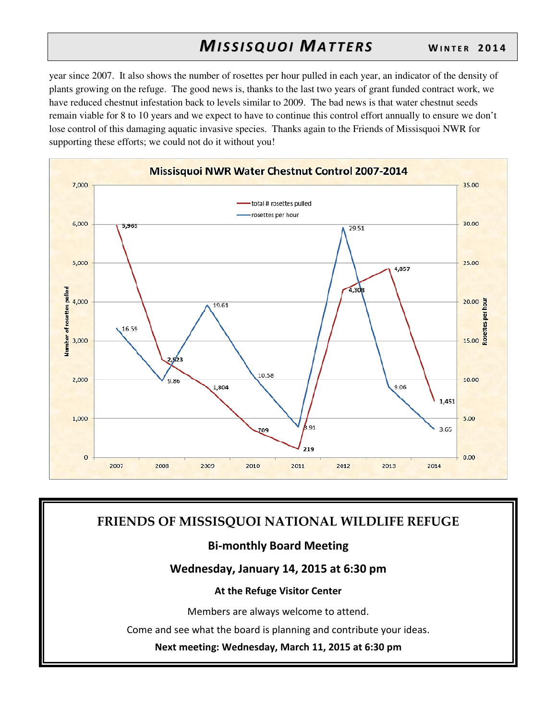year since 2007. It also shows the number of rosettes per hour pulled in each year, an indicator of the density of plants growing on the refuge. The good news is, thanks to the last two years of grant funded contract work, we have reduced chestnut infestation back to levels similar to 2009. The bad news is that water chestnut seeds remain viable for 8 to 10 years and we expect to have to continue this control effort annually to ensure we don't lose control of this damaging aquatic invasive species. Thanks again to the Friends of Missisquoi NWR for supporting these efforts; we could not do it without you!



## **FRIENDS OF MISSISQUOI NATIONAL WILDLIFE REFUGE**

## **Bi-monthly Board Meeting**

## **Wednesday, January 14, 2015 at 6:30 pm**

#### **At the Refuge Visitor Center**

Members are always welcome to attend.

Come and see what the board is planning and contribute your ideas.

**Next meeting: Wednesday, March 11, 2015 at 6:30 pm**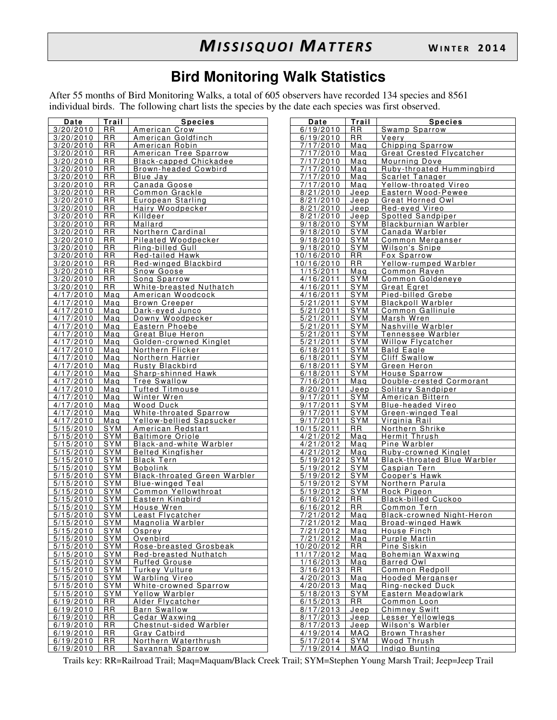# **Bird Monitoring Walk Statistics**

After 55 months of Bird Monitoring Walks, a total of 605 observers have recorded 134 species and 8561 individual birds. The following chart lists the species by the date each species was first observed.

| Date                   | Trail                    | <b>Species</b>                                     | Date                   | Trail              | <b>Species</b>                            |
|------------------------|--------------------------|----------------------------------------------------|------------------------|--------------------|-------------------------------------------|
| 3/20/2010              | <b>RR</b>                | American Crow                                      | 6/19/2010              | <b>RR</b>          | Swamp Sparrow                             |
| 3/20/2010              | <b>RR</b>                | American Goldfinch                                 | 6/19/2010              | <b>RR</b>          | Veery                                     |
| 3/20/2010              | <b>RR</b>                | American Robin                                     | 7/17/2010              | Maq                | Chipping Sparrow                          |
| 3/20/2010              | RR                       | American Tree Sparrow                              | 7/17/2010              | Mag                | <b>Great Crested Flycatcher</b>           |
| 3/20/2010              | RR                       | Black-capped Chickadee                             | 7/17/2010              | Mag                | Mourning Dove                             |
| 3/20/2010              | RR                       | Brown-headed Cowbird                               | 7/17/2010              | Mag                | Ruby-throated Hummingbird                 |
| 3/20/2010              | <b>RR</b>                | Blue Jay                                           | 7/17/2010              | Mag                | Scarlet Tanager                           |
| 3/20/2010              | RR                       | Canada Goose                                       | 7/17/2010              | Maq                | Yellow-throated Vireo                     |
| 3/20/2010              | <b>RR</b>                | Common Grackle                                     | 8/21/2010              | Jeep               | Eastern Wood-Pewee                        |
| 3/20/2010              | <b>RR</b>                | European Starling                                  | 8/21/2010              | Jeep               | Great Horned Owl                          |
| 3/20/2010              | <b>RR</b>                | Hairy Woodpecker                                   | 8/21/2010              | Jeep               | Red-eyed Vireo                            |
| 3/20/2010              | <b>RR</b>                | Killdeer                                           | 8/21/2010              | Jeep<br><b>SYM</b> | Spotted Sandpiper                         |
| 3/20/2010<br>3/20/2010 | RR<br>RR                 | Mallard<br>Northern Cardinal                       | 9/18/2010<br>9/18/2010 | <b>SYM</b>         | Blackburnian Warbler<br>Canada Warbler    |
| 3/20/2010              | RR                       | Pileated Woodpecker                                | 9/18/2010              | <b>SYM</b>         | Common Merganser                          |
| 3/20/2010              | <b>RR</b>                | Ring-billed Gull                                   | 9/18/2010              | <b>SYM</b>         | Wilson's Snipe                            |
| 3/20/2010              | RR                       | Red-tailed Hawk                                    | 10/16/2010             | <b>RR</b>          | Fox Sparrow                               |
| 3/20/2010              | <b>RR</b>                | Red-winged Blackbird                               | 10/16/2010             | <b>RR</b>          | Yellow-rumped Warbler                     |
| 3/20/2010              | <b>RR</b>                | Snow Goose                                         | 1/15/2011              | Maq                | Common Raven                              |
| 3/20/2010              | <b>RR</b>                | Song Sparrow                                       | 4/16/2011              | SYM                | Common Goldeneye                          |
| 3/20/2010              | <b>RR</b>                | White-breasted Nuthatch                            | 4/16/2011              | <b>SYM</b>         | Great Egret                               |
| 4/17/2010              | Maq                      | American Woodcock                                  | 4/16/2011              | SYM                | Pied-billed Grebe                         |
| 4/17/2010              | Mag                      | <b>Brown Creeper</b>                               | 5/21/2011              | <b>SYM</b>         | <b>Blackpoll Warbler</b>                  |
| 4/17/2010              | Mag                      | Dark-eyed Junco                                    | 5/21/2011              | <b>SYM</b>         | Common Gallinule                          |
| 4/17/2010              | Mag                      | Downy Woodpecker                                   | 5/21/2011              | <b>SYM</b>         | Marsh Wren                                |
| 4/17/2010              | Maq                      | Eastern Phoebe                                     | 5/21/2011              | <b>SYM</b>         | Nashville Warbler                         |
| 4/17/2010              | Mag                      | Great Blue Heron                                   | 5/21/2011              | SYM                | Tennessee Warbler                         |
| 4/17/2010              | Mag                      | Golden-crowned Kinglet                             | 5/21/2011              | <b>SYM</b>         | <b>Willow Flycatcher</b>                  |
| 4/17/2010              | Mag                      | Northern Flicker                                   | 6/18/2011              | SYM                | <b>Bald Eagle</b>                         |
| 4/17/2010              | Maq                      | Northern Harrier                                   | 6/18/2011              | <b>SYM</b>         | <b>Cliff Swallow</b>                      |
| 4/17/2010              | Mag                      | <b>Rusty Blackbird</b>                             | 6/18/2011              | <b>SYM</b>         | Green Heron                               |
| 4/17/2010              | Mag                      | Sharp-shinned Hawk                                 | 6/18/2011              | SYM                | House Sparrow                             |
| 4/17/2010              | Mag                      | Tree Swallow                                       | 7/16/2011              | Maq                | Double-crested Cormorant                  |
| 4/17/2010              | Mag                      | <b>Tufted Titmouse</b>                             | 8/20/2011              | Jeep               | Solitary Sandpiper                        |
| 4/17/2010              | Mag                      | Winter Wren                                        | 9/17/2011              | <b>SYM</b>         | American Bittern                          |
| 4/17/2010              | Mag                      | Wood Duck                                          | 9/17/2011              | SYM                | <b>Blue-headed Vireo</b>                  |
| 4/17/2010<br>4/17/2010 | Mag<br>Mag               | White-throated Sparrow<br>Yellow-bellied Sapsucker | 9/17/2011<br>9/17/2011 | SYM<br><b>SYM</b>  | Green-winged Teal<br>Virginia Rail        |
| 5/15/2010              | <b>SYM</b>               | American Redstart                                  | 10/15/2011             | <b>RR</b>          | Northern Shrike                           |
| 5/15/2010              | SYM                      | <b>Baltimore Oriole</b>                            | 4/21/2012              | Maq                | Hermit Thrush                             |
| 5/15/2010              | <b>SYM</b>               | Black-and-white Warbler                            | 4/21/2012              | Mag                | Pine Warbler                              |
| 5/15/2010              | <b>SYM</b>               | <b>Belted Kingfisher</b>                           | 4/21/2012              | Mag                | Ruby-crowned Kinglet                      |
| 5/15/2010              | <b>SYM</b>               | <b>Black Tern</b>                                  | 5/19/2012              | <b>SYM</b>         | <b>Black-throated Blue Warbler</b>        |
| 5/15/2010              | <b>SYM</b>               | <b>Bobolink</b>                                    | 5/19/2012              | <b>SYM</b>         | Caspian Tern                              |
| 5/15/2010              | <b>SYM</b>               | <b>Black-throated Green Warbler</b>                | 5/19/2012              | <b>SYM</b>         | Cooper's Hawk                             |
| 5/15/2010              | SYM                      | <b>Blue-winged Teal</b>                            | 5/19/2012              | <b>SYM</b>         | Northern Parula                           |
| 5/15/2010              | <b>SYM</b>               | Common Yellowthroat                                | 5/19/2012              | <b>SYM</b>         | Rock Pigeon                               |
| 5/15/2010              | <b>SYM</b>               | Eastern Kingbird                                   | 6/16/2012              | <b>RR</b>          | <b>Black-billed Cuckoo</b>                |
| 5/15/2010              | <b>SYM</b>               | House Wren                                         | 6/16/2012              | <b>RR</b>          | Common Tern                               |
| 5/15/2010              | SYM                      | Least Flycatcher                                   | 7/21/2012              | Mag                | Black-crowned Night-Heron                 |
| 5/15/2010              | SYM                      | Magnolia Warbler                                   | 7/21/2012              | Maq                | Broad-winged Hawk                         |
| 5/15/2010              | SYM                      | Osprey                                             | 7/21/2012              | Mag                | House Finch                               |
| 5/15/2010              | $S\overline{YM}$         | Ovenbird                                           | 7/21/2012              | Mag                | Purple Martin                             |
| 5/15/2010              | <b>SYM</b>               | Rose-breasted Grosbeak                             | 10/20/2012             | RR.                | Pine Siskin                               |
| 5/15/2010              | SYM                      | Red-breasted Nuthatch                              | 11/17/2012             | Mag                | Bohemian Waxwing                          |
| 5/15/2010              | <b>SYM</b><br><b>SYM</b> | <b>Ruffed Grouse</b>                               | 1/16/2013              | Mag                | <b>Barred Owl</b>                         |
| 5/15/2010              |                          | Turkey Vulture                                     | 3/16/2013              | <b>RR</b>          | <b>Common Redpoll</b><br>Hooded Merganser |
| 5/15/2010              | SYM                      | Warbling Vireo                                     | 4/20/2013              | Mag                |                                           |
| 5/15/2010<br>5/15/2010 | SYM<br>SYM               | White-crowned Sparrow<br>Yellow Warbler            | 4/20/2013<br>5/18/2013 | Mag<br>SYM         | Ring-necked Duck<br>Eastern Meadowlark    |
| 6/19/2010              | <b>RR</b>                | Alder Flycatcher                                   | 6/15/2013              | RR.                | Common Loon                               |
| 6/19/2010              | <b>RR</b>                | <b>Barn Swallow</b>                                | 8/17/2013              | Jeep               | Chimney Swift                             |
| 6/19/2010              | <b>RR</b>                | Cedar Waxwing                                      | 8/17/2013              | Jeep               | Lesser Yellowlegs                         |
| 6/19/2010              | <b>RR</b>                | Chestnut-sided Warbler                             | 8/17/2013              | Jeep               | Wilson's Warbler                          |
| 6/19/2010              | <b>RR</b>                | Gray Catbird                                       | 4/19/2014              | MAQ                | Brown Thrasher                            |
| 6/19/2010              | <b>RR</b>                | Northern Waterthrush                               | 5/17/2014              | SYM                | Wood Thrush                               |
| 6/19/2010              | RR                       | Savannah Sparrow                                   | 7/19/2014              | <b>MAQ</b>         | Indigo Bunting                            |

| Date                   | Trail             | <b>Species</b>                     |
|------------------------|-------------------|------------------------------------|
| 6/19/2010              | RR.               | Swamp Sparrow                      |
| 6/19/2010              | RR.               | Veery                              |
| 7/17/2010              | Mag               | Chipping Sparrow                   |
| 7/17/2010              | Maq               | <b>Great Crested Flycatcher</b>    |
| 7/17/2010              | Maq               | Mourning Dove                      |
| 7/17/2010              | Mag               | Ruby-throated Hummingbird          |
| 7/17/2010              | Mag               | Scarlet Tanager                    |
| 7/17/2010              | Mag               | Yellow-throated Vireo              |
| 8/21/2010              | Jeep              | Eastern Wood-Pewee                 |
| $8/21/\overline{2010}$ | Jeep              | Great Horned Owl                   |
| 8/21/2010              | Jeep              | Red-eyed Vireo                     |
| 8/21/2010              | <u>Jeep</u>       | Spotted Sandpiper                  |
| 9/18/2010              | SYM               | Blackburnian Warbler               |
| 9/18/2010              | <u>SYM</u>        | Canada Warbler                     |
| 9/18/2010              | SYM               | Common Merganser                   |
| 9/18/2010              | SYM               | <u>Wilson's Snipe</u>              |
| 10/16/2010             | RR.               | Fox Sparrow                        |
| 10/16/2010             | <b>RR</b>         | Yellow-rumped Warbler              |
| 1/15/2011              |                   | Common Raven                       |
|                        | Maq<br><b>SYM</b> | Common Goldeneye                   |
| 4/16/2011              |                   |                                    |
| 4/16/2011              | <b>SYM</b>        | <b>Great Egret</b>                 |
| 4/16/2011              | <b>SYM</b>        | Pied-billed Grebe                  |
| 5/21/2011              | <b>SYM</b>        | <b>Blackpoll Warbler</b>           |
| 5/21/2011              | SYM               | Common Gallinule                   |
| 5/21/2011              | <u>SYM</u>        | Marsh Wren                         |
| 5/21/2011              | <b>SYM</b>        | Nashville Warbler                  |
| 5/21/2011              | <b>SYM</b>        | Tennessee Warbler                  |
| 5/21/2011              | <u>SYM</u>        | Willow Flycatcher                  |
| 6/18/2011              | SYM               | Bald Eagle                         |
| 6/18/2011              | <b>SYM</b>        | Cliff Swallow                      |
| 6/18/2011              | <b>SYM</b>        | Green Heron                        |
| 6/18/2011              | SYM               | House Sparrow                      |
| 7/16/2011              | Mag               | Double-crested Cormorant           |
| 8/20/2011              | Jeep              | Solitary Sandpiper                 |
| 9/17/2011              | SYM               | American Bittern                   |
| $\frac{9}{17/2011}$    | <b>SYM</b>        | <b>Blue-headed Vireo</b>           |
| 9/17/2011              | <b>SYM</b>        | Green-winged Teal                  |
| 9/17/2011              | <b>SYM</b>        | <u>Virginia Rail-</u>              |
| 10/15/2011             | RR                | Northern Shrike                    |
| 4/21/2012              | Mag               | Hermit Thrush                      |
| 4/21/2012              | Mag               | Pine Warbler                       |
| 4/21/2012              | Mag               | Ruby-crowned Kinglet               |
| 5/19/2012              | SYM               | <b>Black-throated Blue Warbler</b> |
| 5/19/2012              | <b>SYM</b>        |                                    |
|                        |                   | <u>Caspian Tern</u>                |
| 5/19/2012              | <b>SYM</b>        | Cooper's Hawk                      |
| 5/19/2012              | <u>SYM</u>        | Northern Parula                    |
| 5/19/2012              | SYM               | Rock Pigeon                        |
| 6/16/2012              | <b>RR</b>         | <b>Black-billed Cuckoo</b>         |
| 6/16/2012              | RR.               | Common Tern                        |
| 7/21/2012              | Mag               | Black-crowned Night-Heron          |
| 7/21/2012              | Mag               | Broad-winged Hawk                  |
| 7/21/2012              | Mag               | House Finch                        |
| 7/21/2012              | Mag               | Purple Martin                      |
| 10/20/2012             | RR.               | Pine Siskin                        |
| 11/17/2012             | Mag               | Bohemian Waxwing                   |
| 1/16/2013              | Mag               | Barred Owl                         |
| 3/16/2013              | RR                | Common Redpoll                     |
| 4/20/2013              | Mag               | Hooded Merganser                   |
| 4/20/2013              | Maq               | Ring-necked Duck                   |
| 5/18/2013              | SYM               | Eastern Meadowlark                 |
| 6/15/2013              | RR                | Common Loon                        |
| 8/17/2013              | Jeep              | <b>Chimney Swift</b>               |
| 8/17/2013              | Jeep              | Lesser Yellowlegs                  |
| 8/17/2013              | Jeep              | Wilson's Warbler                   |
| 4/19/2014              | MAQ               | <b>Brown Thrasher</b>              |
| 5/17/2014              | <u>SYM</u>        | Wood Thrush                        |
| 7/19/2014              | MAQ               | Indigo Bunting                     |
|                        |                   |                                    |

Trails key: RR=Railroad Trail; Maq=Maquam/Black Creek Trail; SYM=Stephen Young Marsh Trail; Jeep=Jeep Trail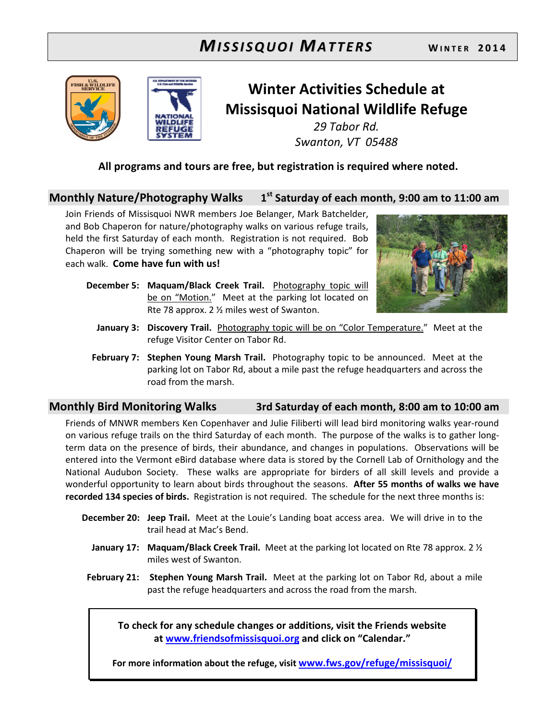



# **Winter Activities Schedule at Missisquoi National Wildlife Refuge**

*29 Tabor Rd. Swanton, VT 05488* 

**All programs and tours are free, but registration is required where noted.** 

## **Monthly Nature/Photography Walks 1 st Saturday of each month, 9:00 am to 11:00 am**

Join Friends of Missisquoi NWR members Joe Belanger, Mark Batchelder, and Bob Chaperon for nature/photography walks on various refuge trails, held the first Saturday of each month. Registration is not required. Bob Chaperon will be trying something new with a "photography topic" for each walk. **Come have fun with us!**



- **December 5: Maquam/Black Creek Trail.** Photography topic will be on "Motion." Meet at the parking lot located on Rte 78 approx. 2 ½ miles west of Swanton.
	- **January 3: Discovery Trail.** Photography topic will be on "Color Temperature."Meet at the refuge Visitor Center on Tabor Rd.
- **February 7: Stephen Young Marsh Trail.** Photography topic to be announced.Meet at the parking lot on Tabor Rd, about a mile past the refuge headquarters and across the road from the marsh.

## **Monthly Bird Monitoring Walks 3rd Saturday of each month, 8:00 am to 10:00 am**

Friends of MNWR members Ken Copenhaver and Julie Filiberti will lead bird monitoring walks year-round on various refuge trails on the third Saturday of each month. The purpose of the walks is to gather longterm data on the presence of birds, their abundance, and changes in populations. Observations will be entered into the Vermont eBird database where data is stored by the Cornell Lab of Ornithology and the National Audubon Society. These walks are appropriate for birders of all skill levels and provide a wonderful opportunity to learn about birds throughout the seasons. **After 55 months of walks we have recorded 134 species of birds.** Registration is not required. The schedule for the next three months is:

- **December 20: Jeep Trail.** Meet at the Louie's Landing boat access area. We will drive in to the trail head at Mac's Bend.
	- **January 17: Maquam/Black Creek Trail.** Meet at the parking lot located on Rte 78 approx. 2 ½ miles west of Swanton.
- **February 21: Stephen Young Marsh Trail.** Meet at the parking lot on Tabor Rd, about a mile past the refuge headquarters and across the road from the marsh.

**To check for any schedule changes or additions, visit the Friends website at www.friendsofmissisquoi.org and click on "Calendar."** 

**For more information about the refuge, visit www.fws.gov/refuge/missisquoi/**